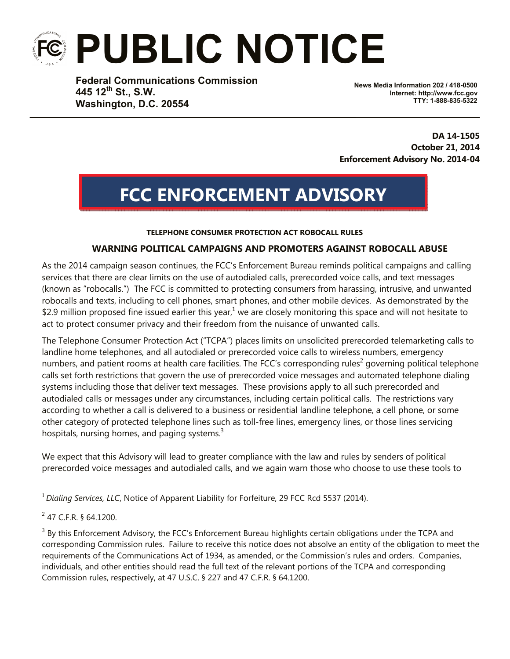# **PUBLIC NOTICE**

**Federal Communications Commission 445 12th St., S.W. Washington, D.C. 20554**

**News Media Information 202 / 418-0500 Internet: http://www.fcc.gov TTY: 1-888-835-5322**

**DA 14-1505 October 21, 2014 Enforcement Advisory No. 2014-04**

## **FCC ENFORCEMENT ADVISORY**

#### **TELEPHONE CONSUMER PROTECTION ACT ROBOCALL RULES**

#### **WARNING POLITICAL CAMPAIGNS AND PROMOTERS AGAINST ROBOCALL ABUSE**

As the 2014 campaign season continues, the FCC's Enforcement Bureau reminds political campaigns and calling services that there are clear limits on the use of autodialed calls, prerecorded voice calls, and text messages (known as "robocalls.") The FCC is committed to protecting consumers from harassing, intrusive, and unwanted robocalls and texts, including to cell phones, smart phones, and other mobile devices. As demonstrated by the \$2.9 million proposed fine issued earlier this year,<sup>1</sup> we are closely monitoring this space and will not hesitate to act to protect consumer privacy and their freedom from the nuisance of unwanted calls.

The Telephone Consumer Protection Act ("TCPA") places limits on unsolicited prerecorded telemarketing calls to landline home telephones, and all autodialed or prerecorded voice calls to wireless numbers, emergency numbers, and patient rooms at health care facilities. The FCC's corresponding rules<sup>2</sup> governing political telephone calls set forth restrictions that govern the use of prerecorded voice messages and automated telephone dialing systems including those that deliver text messages. These provisions apply to all such prerecorded and autodialed calls or messages under any circumstances, including certain political calls. The restrictions vary according to whether a call is delivered to a business or residential landline telephone, a cell phone, or some other category of protected telephone lines such as toll-free lines, emergency lines, or those lines servicing hospitals, nursing homes, and paging systems.<sup>3</sup>

We expect that this Advisory will lead to greater compliance with the law and rules by senders of political prerecorded voice messages and autodialed calls, and we again warn those who choose to use these tools to

i<br>Li

<sup>1</sup> *Dialing Services, LLC*, Notice of Apparent Liability for Forfeiture, 29 FCC Rcd 5537 (2014).

<sup>&</sup>lt;sup>2</sup> 47 C.F.R. § 64.1200.

 $3$  By this Enforcement Advisory, the FCC's Enforcement Bureau highlights certain obligations under the TCPA and corresponding Commission rules. Failure to receive this notice does not absolve an entity of the obligation to meet the requirements of the Communications Act of 1934, as amended, or the Commission's rules and orders. Companies, individuals, and other entities should read the full text of the relevant portions of the TCPA and corresponding Commission rules, respectively, at 47 U.S.C. § 227 and 47 C.F.R. § 64.1200.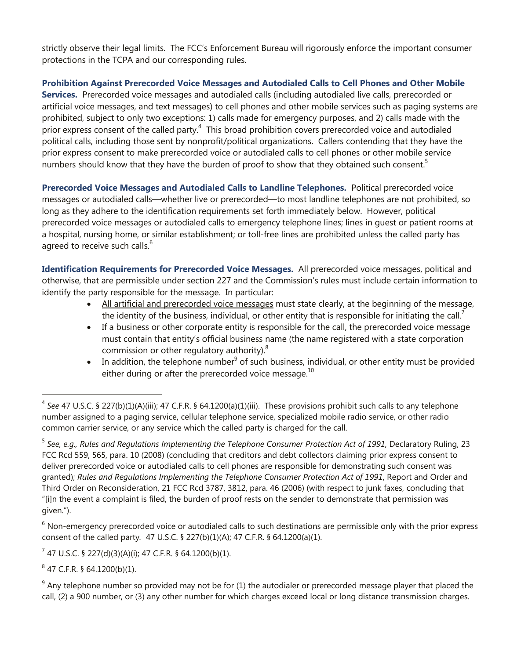strictly observe their legal limits. The FCC's Enforcement Bureau will rigorously enforce the important consumer protections in the TCPA and our corresponding rules.

**Prohibition Against Prerecorded Voice Messages and Autodialed Calls to Cell Phones and Other Mobile Services.** Prerecorded voice messages and autodialed calls (including autodialed live calls, prerecorded or artificial voice messages, and text messages) to cell phones and other mobile services such as paging systems are prohibited, subject to only two exceptions: 1) calls made for emergency purposes, and 2) calls made with the prior express consent of the called party.<sup>4</sup> This broad prohibition covers prerecorded voice and autodialed political calls, including those sent by nonprofit/political organizations. Callers contending that they have the prior express consent to make prerecorded voice or autodialed calls to cell phones or other mobile service numbers should know that they have the burden of proof to show that they obtained such consent.<sup>5</sup>

**Prerecorded Voice Messages and Autodialed Calls to Landline Telephones.** Political prerecorded voice messages or autodialed calls—whether live or prerecorded—to most landline telephones are not prohibited, so long as they adhere to the identification requirements set forth immediately below. However, political prerecorded voice messages or autodialed calls to emergency telephone lines; lines in guest or patient rooms at a hospital, nursing home, or similar establishment; or toll-free lines are prohibited unless the called party has agreed to receive such calls.<sup>6</sup>

**Identification Requirements for Prerecorded Voice Messages.** All prerecorded voice messages, political and otherwise, that are permissible under section 227 and the Commission's rules must include certain information to identify the party responsible for the message. In particular:

- All artificial and prerecorded voice messages must state clearly, at the beginning of the message, the identity of the business, individual, or other entity that is responsible for initiating the call. $\overline{1}$
- If a business or other corporate entity is responsible for the call, the prerecorded voice message must contain that entity's official business name (the name registered with a state corporation commission or other regulatory authority). $8$
- $\bullet$  In addition, the telephone number<sup>9</sup> of such business, individual, or other entity must be provided either during or after the prerecorded voice message. $^{10}$

 $6$  Non-emergency prerecorded voice or autodialed calls to such destinations are permissible only with the prior express consent of the called party*.* 47 U.S.C. § 227(b)(1)(A); 47 C.F.R. § 64.1200(a)(1).

 $7$  47 U.S.C. § 227(d)(3)(A)(i); 47 C.F.R. § 64.1200(b)(1).

 $8$  47 C.F.R. § 64.1200(b)(1).

i

 $9$  Any telephone number so provided may not be for (1) the autodialer or prerecorded message player that placed the call, (2) a 900 number, or (3) any other number for which charges exceed local or long distance transmission charges.

<sup>4</sup> *See* 47 U.S.C. § 227(b)(1)(A)(iii); 47 C.F.R. § 64.1200(a)(1)(iii). These provisions prohibit such calls to any telephone number assigned to a paging service, cellular telephone service, specialized mobile radio service, or other radio common carrier service, or any service which the called party is charged for the call.

<sup>5</sup> *See, e.g., Rules and Regulations Implementing the Telephone Consumer Protection Act of 1991,* Declaratory Ruling, 23 FCC Rcd 559, 565, para. 10 (2008) (concluding that creditors and debt collectors claiming prior express consent to deliver prerecorded voice or autodialed calls to cell phones are responsible for demonstrating such consent was granted); *Rules and Regulations Implementing the Telephone Consumer Protection Act of 1991*, Report and Order and Third Order on Reconsideration, 21 FCC Rcd 3787, 3812, para. 46 (2006) (with respect to junk faxes, concluding that "[i]n the event a complaint is filed, the burden of proof rests on the sender to demonstrate that permission was given.").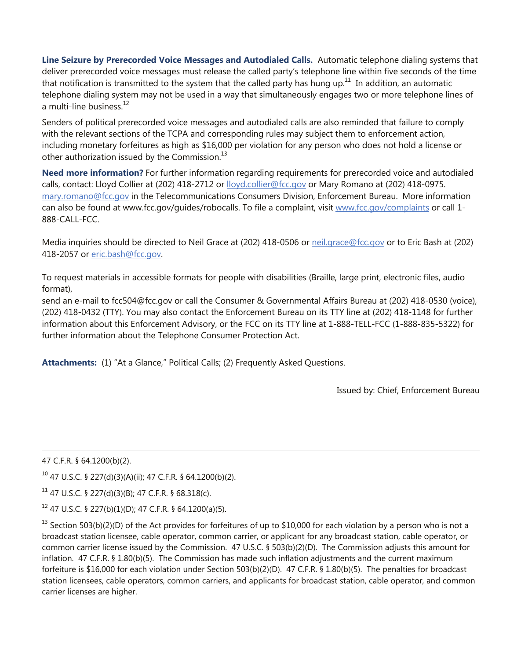**Line Seizure by Prerecorded Voice Messages and Autodialed Calls.** Automatic telephone dialing systems that deliver prerecorded voice messages must release the called party's telephone line within five seconds of the time that notification is transmitted to the system that the called party has hung up.<sup>11</sup> In addition, an automatic telephone dialing system may not be used in a way that simultaneously engages two or more telephone lines of a multi-line business. $12$ 

Senders of political prerecorded voice messages and autodialed calls are also reminded that failure to comply with the relevant sections of the TCPA and corresponding rules may subject them to enforcement action, including monetary forfeitures as high as \$16,000 per violation for any person who does not hold a license or other authorization issued by the Commission. $^{13}$ 

**Need more information?** For further information regarding requirements for prerecorded voice and autodialed calls, contact: Lloyd Collier at (202) 418-2712 or lloyd.collier@fcc.gov or Mary Romano at (202) 418-0975. mary.romano@fcc.gov in the Telecommunications Consumers Division, Enforcement Bureau. More information can also be found at www.fcc.gov/guides/robocalls. To file a complaint, visit www.fcc.gov/complaints or call 1- 888-CALL-FCC.

Media inquiries should be directed to Neil Grace at (202) 418-0506 or neil.grace@fcc.gov or to Eric Bash at (202) 418-2057 or eric.bash@fcc.gov.

To request materials in accessible formats for people with disabilities (Braille, large print, electronic files, audio format),

send an e-mail to fcc504@fcc.gov or call the Consumer & Governmental Affairs Bureau at (202) 418-0530 (voice), (202) 418-0432 (TTY). You may also contact the Enforcement Bureau on its TTY line at (202) 418-1148 for further information about this Enforcement Advisory, or the FCC on its TTY line at 1-888-TELL-FCC (1-888-835-5322) for further information about the Telephone Consumer Protection Act.

**Attachments:** (1) "At a Glance," Political Calls; (2) Frequently Asked Questions.

Issued by: Chief, Enforcement Bureau

47 C.F.R. § 64.1200(b)(2).

i<br>Li

 $10$  47 U.S.C. § 227(d)(3)(A)(ii); 47 C.F.R. § 64.1200(b)(2).

 $11$  47 U.S.C. § 227(d)(3)(B); 47 C.F.R. § 68.318(c).

 $12$  47 U.S.C. § 227(b)(1)(D); 47 C.F.R. § 64.1200(a)(5).

 $^{13}$  Section 503(b)(2)(D) of the Act provides for forfeitures of up to \$10,000 for each violation by a person who is not a broadcast station licensee, cable operator, common carrier, or applicant for any broadcast station, cable operator, or common carrier license issued by the Commission. 47 U.S.C. § 503(b)(2)(D). The Commission adjusts this amount for inflation. 47 C.F.R. § 1.80(b)(5). The Commission has made such inflation adjustments and the current maximum forfeiture is \$16,000 for each violation under Section 503(b)(2)(D). 47 C.F.R. § 1.80(b)(5). The penalties for broadcast station licensees, cable operators, common carriers, and applicants for broadcast station, cable operator, and common carrier licenses are higher.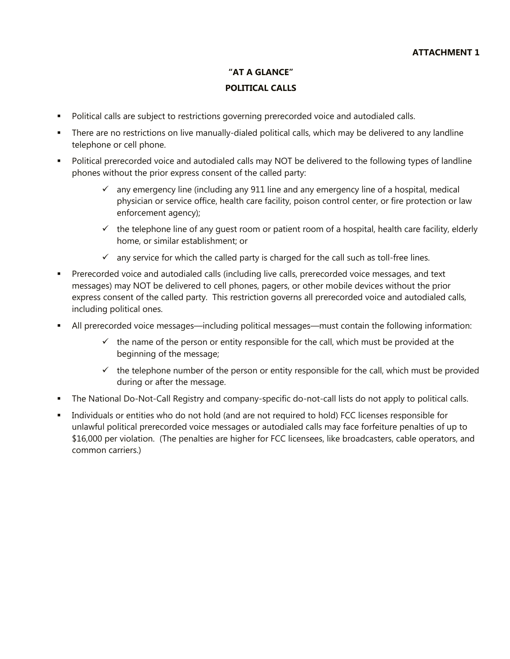### **"AT A GLANCE" POLITICAL CALLS**

- Political calls are subject to restrictions governing prerecorded voice and autodialed calls.
- There are no restrictions on live manually-dialed political calls, which may be delivered to any landline telephone or cell phone.
- Political prerecorded voice and autodialed calls may NOT be delivered to the following types of landline phones without the prior express consent of the called party:
	- $\checkmark$  any emergency line (including any 911 line and any emergency line of a hospital, medical physician or service office, health care facility, poison control center, or fire protection or law enforcement agency);
	- $\checkmark$  the telephone line of any quest room or patient room of a hospital, health care facility, elderly home, or similar establishment; or
	- $\checkmark$  any service for which the called party is charged for the call such as toll-free lines.
- **Prerecorded voice and autodialed calls (including live calls, prerecorded voice messages, and text** messages) may NOT be delivered to cell phones, pagers, or other mobile devices without the prior express consent of the called party. This restriction governs all prerecorded voice and autodialed calls, including political ones.
- All prerecorded voice messages—including political messages—must contain the following information:
	- $\checkmark$  the name of the person or entity responsible for the call, which must be provided at the beginning of the message;
	- $\checkmark$  the telephone number of the person or entity responsible for the call, which must be provided during or after the message.
- The National Do-Not-Call Registry and company-specific do-not-call lists do not apply to political calls.
- Individuals or entities who do not hold (and are not required to hold) FCC licenses responsible for unlawful political prerecorded voice messages or autodialed calls may face forfeiture penalties of up to \$16,000 per violation. (The penalties are higher for FCC licensees, like broadcasters, cable operators, and common carriers.)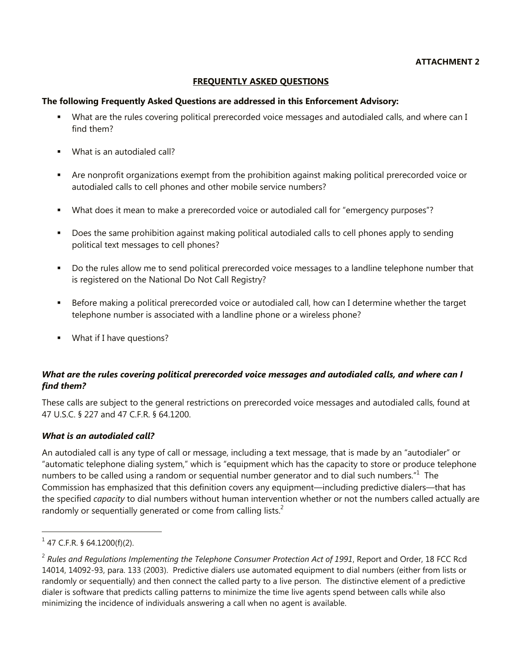#### **FREQUENTLY ASKED QUESTIONS**

#### **The following Frequently Asked Questions are addressed in this Enforcement Advisory:**

- What are the rules covering political prerecorded voice messages and autodialed calls, and where can I find them?
- What is an autodialed call?
- Are nonprofit organizations exempt from the prohibition against making political prerecorded voice or autodialed calls to cell phones and other mobile service numbers?
- What does it mean to make a prerecorded voice or autodialed call for "emergency purposes"?
- **Does the same prohibition against making political autodialed calls to cell phones apply to sending** political text messages to cell phones?
- Do the rules allow me to send political prerecorded voice messages to a landline telephone number that is registered on the National Do Not Call Registry?
- Before making a political prerecorded voice or autodialed call, how can I determine whether the target telephone number is associated with a landline phone or a wireless phone?
- **What if I have questions?**

#### *What are the rules covering political prerecorded voice messages and autodialed calls, and where can I find them?*

These calls are subject to the general restrictions on prerecorded voice messages and autodialed calls, found at 47 U.S.C. § 227 and 47 C.F.R. § 64.1200.

#### *What is an autodialed call?*

An autodialed call is any type of call or message, including a text message, that is made by an "autodialer" or "automatic telephone dialing system," which is "equipment which has the capacity to store or produce telephone numbers to be called using a random or sequential number generator and to dial such numbers." $1$  The Commission has emphasized that this definition covers any equipment—including predictive dialers—that has the specified *capacity* to dial numbers without human intervention whether or not the numbers called actually are randomly or sequentially generated or come from calling lists.<sup>2</sup>

i

 $1$  47 C.F.R. § 64.1200(f)(2).

<sup>&</sup>lt;sup>2</sup> Rules and Regulations Implementing the Telephone Consumer Protection Act of 1991, Report and Order, 18 FCC Rcd 14014, 14092-93, para. 133 (2003). Predictive dialers use automated equipment to dial numbers (either from lists or randomly or sequentially) and then connect the called party to a live person. The distinctive element of a predictive dialer is software that predicts calling patterns to minimize the time live agents spend between calls while also minimizing the incidence of individuals answering a call when no agent is available.